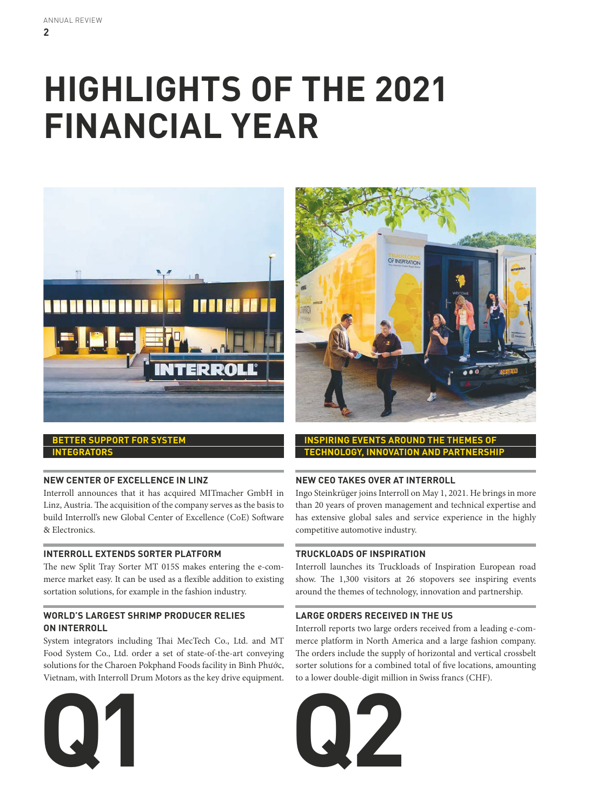# **HIGHLIGHTS OF THE 2021 FINANCIAL YEAR**





## **NEW CENTER OF EXCELLENCE IN LINZ**

Interroll announces that it has acquired MITmacher GmbH in Linz, Austria. The acquisition of the company serves as the basis to build Interroll's new Global Center of Excellence (CoE) Software & Electronics.

## **INTERROLL EXTENDS SORTER PLATFORM**

The new Split Tray Sorter MT 015S makes entering the e-commerce market easy. It can be used as a flexible addition to existing sortation solutions, for example in the fashion industry.

## **WORLD'S LARGEST SHRIMP PRODUCER RELIES ON INTERROLL**

System integrators including Thai MecTech Co., Ltd. and MT Food System Co., Ltd. order a set of state-of-the-art conveying solutions for the Charoen Pokphand Foods facility in Bình Phước, Vietnam, with Interroll Drum Motors as the key drive equipment.





**INSPIRING EVENTS AROUND THE THEMES OF TECHNOLOGY, INNOVATION AND PARTNERSHIP**

## **NEW CEO TAKES OVER AT INTERROLL**

Ingo Steinkrüger joins Interroll on May 1, 2021. He brings in more than 20 years of proven management and technical expertise and has extensive global sales and service experience in the highly competitive automotive industry.

#### **TRUCKLOADS OF INSPIRATION**

Interroll launches its Truckloads of Inspiration European road show. The 1,300 visitors at 26 stopovers see inspiring events around the themes of technology, innovation and partnership.

#### **LARGE ORDERS RECEIVED IN THE US**

Interroll reports two large orders received from a leading e-commerce platform in North America and a large fashion company. The orders include the supply of horizontal and vertical crossbelt sorter solutions for a combined total of five locations, amounting to a lower double-digit million in Swiss francs (CHF).